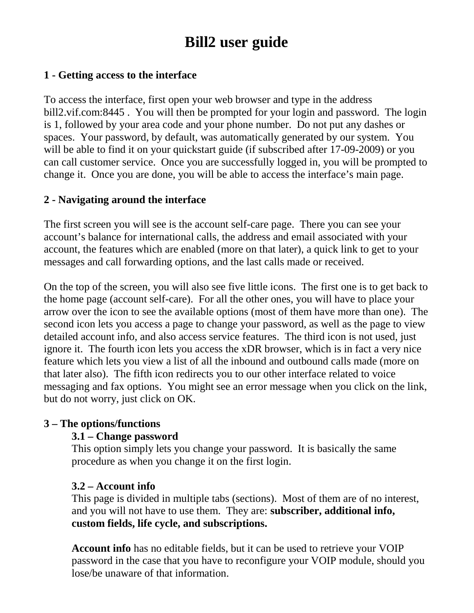# **Bill2 user guide**

## **1 - Getting access to the interface**

To access the interface, first open your web browser and type in the address bill2.vif.com:8445 . You will then be prompted for your login and password. The login is 1, followed by your area code and your phone number. Do not put any dashes or spaces. Your password, by default, was automatically generated by our system. You will be able to find it on your quickstart guide (if subscribed after 17-09-2009) or you can call customer service. Once you are successfully logged in, you will be prompted to change it. Once you are done, you will be able to access the interface's main page.

## **2 - Navigating around the interface**

The first screen you will see is the account self-care page. There you can see your account's balance for international calls, the address and email associated with your account, the features which are enabled (more on that later), a quick link to get to your messages and call forwarding options, and the last calls made or received.

On the top of the screen, you will also see five little icons. The first one is to get back to the home page (account self-care). For all the other ones, you will have to place your arrow over the icon to see the available options (most of them have more than one). The second icon lets you access a page to change your password, as well as the page to view detailed account info, and also access service features. The third icon is not used, just ignore it. The fourth icon lets you access the xDR browser, which is in fact a very nice feature which lets you view a list of all the inbound and outbound calls made (more on that later also). The fifth icon redirects you to our other interface related to voice messaging and fax options. You might see an error message when you click on the link, but do not worry, just click on OK.

### **3 – The options/functions**

### **3.1 – Change password**

This option simply lets you change your password. It is basically the same procedure as when you change it on the first login.

### **3.2 – Account info**

This page is divided in multiple tabs (sections). Most of them are of no interest, and you will not have to use them. They are: **subscriber, additional info, custom fields, life cycle, and subscriptions.**

**Account info** has no editable fields, but it can be used to retrieve your VOIP password in the case that you have to reconfigure your VOIP module, should you lose/be unaware of that information.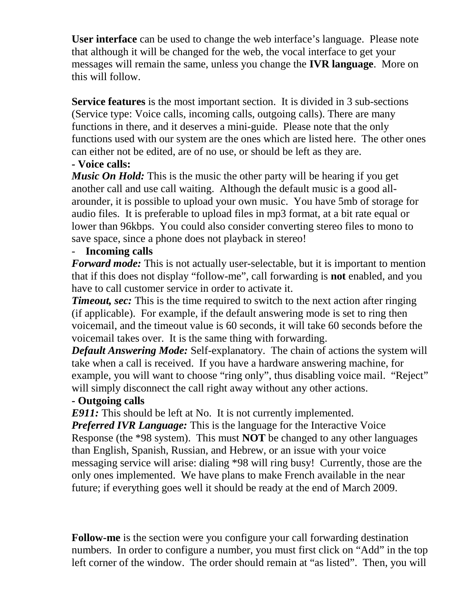**User interface** can be used to change the web interface's language. Please note that although it will be changed for the web, the vocal interface to get your messages will remain the same, unless you change the **IVR language**. More on this will follow.

**Service features** is the most important section. It is divided in 3 sub-sections (Service type: Voice calls, incoming calls, outgoing calls). There are many functions in there, and it deserves a mini-guide. Please note that the only functions used with our system are the ones which are listed here. The other ones can either not be edited, are of no use, or should be left as they are.

# **- Voice calls:**

*Music On Hold:* This is the music the other party will be hearing if you get another call and use call waiting. Although the default music is a good allarounder, it is possible to upload your own music. You have 5mb of storage for audio files. It is preferable to upload files in mp3 format, at a bit rate equal or lower than 96kbps. You could also consider converting stereo files to mono to save space, since a phone does not playback in stereo!

# - **Incoming calls**

*Forward mode:* This is not actually user-selectable, but it is important to mention that if this does not display "follow-me", call forwarding is **not** enabled, and you have to call customer service in order to activate it.

*Timeout, sec:* This is the time required to switch to the next action after ringing (if applicable). For example, if the default answering mode is set to ring then voicemail, and the timeout value is 60 seconds, it will take 60 seconds before the voicemail takes over. It is the same thing with forwarding.

*Default Answering Mode:* Self-explanatory. The chain of actions the system will take when a call is received. If you have a hardware answering machine, for example, you will want to choose "ring only", thus disabling voice mail. "Reject" will simply disconnect the call right away without any other actions.

# **- Outgoing calls**

*E911:* This should be left at No. It is not currently implemented.

*Preferred IVR Language:* This is the language for the Interactive Voice Response (the \*98 system). This must **NOT** be changed to any other languages than English, Spanish, Russian, and Hebrew, or an issue with your voice messaging service will arise: dialing \*98 will ring busy! Currently, those are the only ones implemented. We have plans to make French available in the near future; if everything goes well it should be ready at the end of March 2009.

**Follow-me** is the section were you configure your call forwarding destination numbers. In order to configure a number, you must first click on "Add" in the top left corner of the window. The order should remain at "as listed". Then, you will